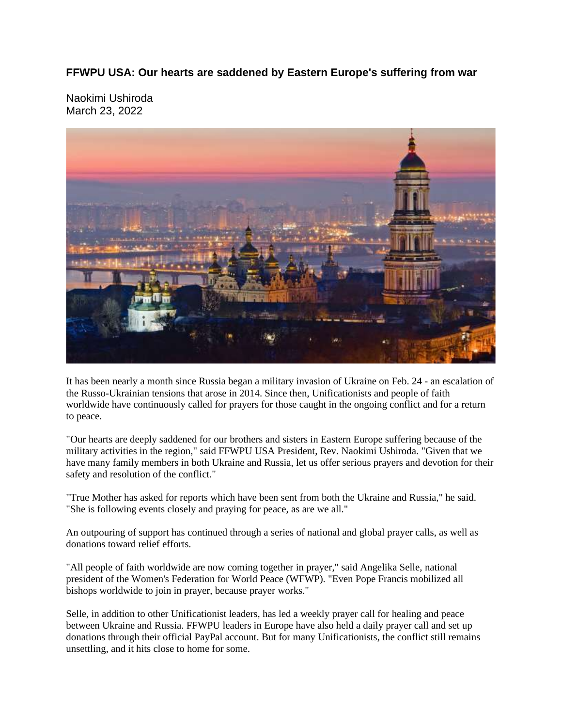## **FFWPU USA: Our hearts are saddened by Eastern Europe's suffering from war**

Naokimi Ushiroda March 23, 2022



It has been nearly a month since Russia began a military invasion of Ukraine on Feb. 24 - an escalation of the Russo-Ukrainian tensions that arose in 2014. Since then, Unificationists and people of faith worldwide have continuously called for prayers for those caught in the ongoing conflict and for a return to peace.

"Our hearts are deeply saddened for our brothers and sisters in Eastern Europe suffering because of the military activities in the region," said FFWPU USA President, Rev. Naokimi Ushiroda. "Given that we have many family members in both Ukraine and Russia, let us offer serious prayers and devotion for their safety and resolution of the conflict."

"True Mother has asked for reports which have been sent from both the Ukraine and Russia," he said. "She is following events closely and praying for peace, as are we all."

An outpouring of support has continued through a series of national and global prayer calls, as well as donations toward relief efforts.

"All people of faith worldwide are now coming together in prayer," said Angelika Selle, national president of the Women's Federation for World Peace (WFWP). "Even Pope Francis mobilized all bishops worldwide to join in prayer, because prayer works."

Selle, in addition to other Unificationist leaders, has led a weekly prayer call for healing and peace between Ukraine and Russia. FFWPU leaders in Europe have also held a daily prayer call and set up donations through their official PayPal account. But for many Unificationists, the conflict still remains unsettling, and it hits close to home for some.